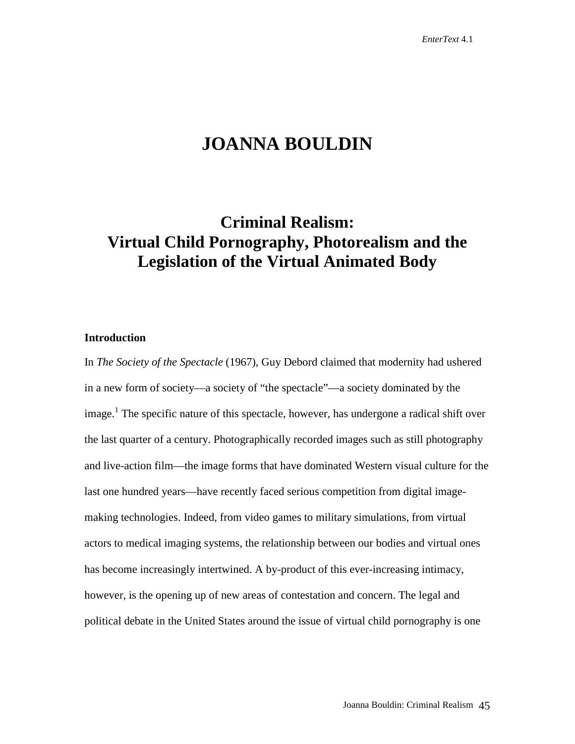# **JOANNA BOULDIN**

# **Criminal Realism: Virtual Child Pornography, Photorealism and the Legislation of the Virtual Animated Body**

# **Introduction**

In *The Society of the Spectacle* (1967), Guy Debord claimed that modernity had ushered in a new form of society—a society of "the spectacle"—a society dominated by the image.<sup>1</sup> The specific nature of this spectacle, however, has undergone a radical shift over the last quarter of a century. Photographically recorded images such as still photography and live-action film—the image forms that have dominated Western visual culture for the last one hundred years—have recently faced serious competition from digital imagemaking technologies. Indeed, from video games to military simulations, from virtual actors to medical imaging systems, the relationship between our bodies and virtual ones has become increasingly intertwined. A by-product of this ever-increasing intimacy, however, is the opening up of new areas of contestation and concern. The legal and political debate in the United States around the issue of virtual child pornography is one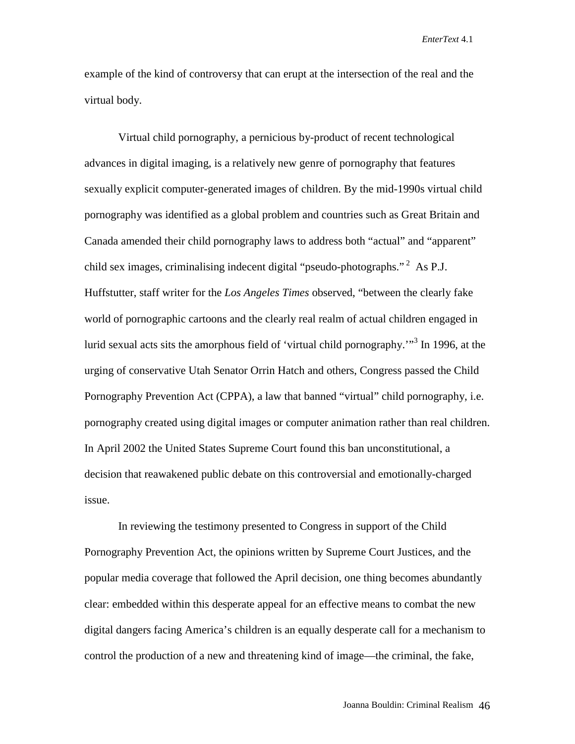example of the kind of controversy that can erupt at the intersection of the real and the virtual body.

Virtual child pornography, a pernicious by-product of recent technological advances in digital imaging, is a relatively new genre of pornography that features sexually explicit computer-generated images of children. By the mid-1990s virtual child pornography was identified as a global problem and countries such as Great Britain and Canada amended their child pornography laws to address both "actual" and "apparent" child sex images, criminalising indecent digital "pseudo-photographs."  $^2$  As P.J. Huffstutter, staff writer for the *Los Angeles Times* observed, "between the clearly fake world of pornographic cartoons and the clearly real realm of actual children engaged in lurid sexual acts sits the amorphous field of 'virtual child pornography.'"<sup>3</sup> In 1996, at the urging of conservative Utah Senator Orrin Hatch and others, Congress passed the Child Pornography Prevention Act (CPPA), a law that banned "virtual" child pornography, i.e. pornography created using digital images or computer animation rather than real children. In April 2002 the United States Supreme Court found this ban unconstitutional, a decision that reawakened public debate on this controversial and emotionally-charged issue.

In reviewing the testimony presented to Congress in support of the Child Pornography Prevention Act, the opinions written by Supreme Court Justices, and the popular media coverage that followed the April decision, one thing becomes abundantly clear: embedded within this desperate appeal for an effective means to combat the new digital dangers facing America's children is an equally desperate call for a mechanism to control the production of a new and threatening kind of image—the criminal, the fake,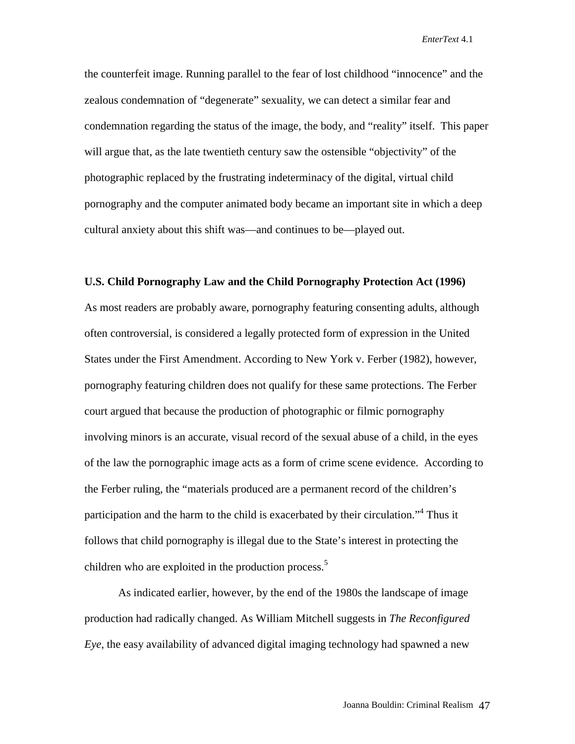the counterfeit image. Running parallel to the fear of lost childhood "innocence" and the zealous condemnation of "degenerate" sexuality, we can detect a similar fear and condemnation regarding the status of the image, the body, and "reality" itself. This paper will argue that, as the late twentieth century saw the ostensible "objectivity" of the photographic replaced by the frustrating indeterminacy of the digital, virtual child pornography and the computer animated body became an important site in which a deep cultural anxiety about this shift was—and continues to be—played out.

#### **U.S. Child Pornography Law and the Child Pornography Protection Act (1996)**

As most readers are probably aware, pornography featuring consenting adults, although often controversial, is considered a legally protected form of expression in the United States under the First Amendment. According to New York v. Ferber (1982), however, pornography featuring children does not qualify for these same protections. The Ferber court argued that because the production of photographic or filmic pornography involving minors is an accurate, visual record of the sexual abuse of a child, in the eyes of the law the pornographic image acts as a form of crime scene evidence. According to the Ferber ruling, the "materials produced are a permanent record of the children's participation and the harm to the child is exacerbated by their circulation."<sup>4</sup> Thus it follows that child pornography is illegal due to the State's interest in protecting the children who are exploited in the production process.<sup>5</sup>

As indicated earlier, however, by the end of the 1980s the landscape of image production had radically changed. As William Mitchell suggests in *The Reconfigured Eye*, the easy availability of advanced digital imaging technology had spawned a new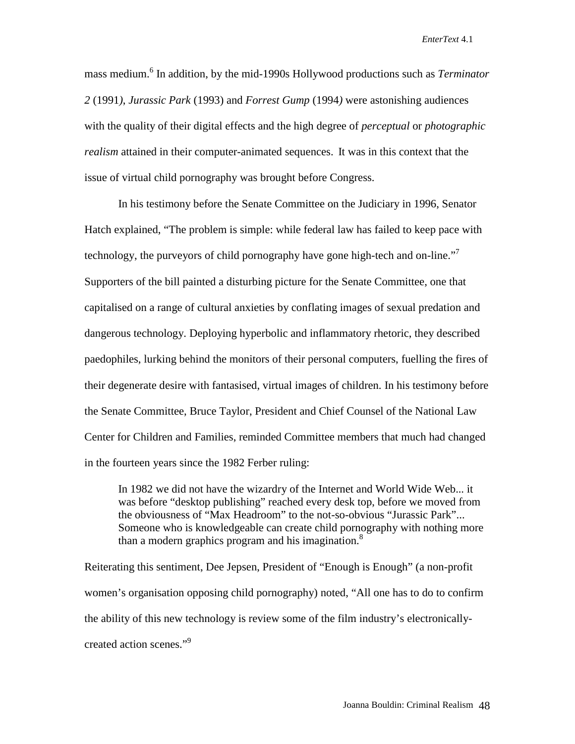mass medium.<sup>6</sup> In addition, by the mid-1990s Hollywood productions such as *Terminator 2* (1991*)*, *Jurassic Park* (1993) and *Forrest Gump* (1994*)* were astonishing audiences with the quality of their digital effects and the high degree of *perceptual* or *photographic realism* attained in their computer-animated sequences. It was in this context that the issue of virtual child pornography was brought before Congress.

In his testimony before the Senate Committee on the Judiciary in 1996, Senator Hatch explained, "The problem is simple: while federal law has failed to keep pace with technology, the purveyors of child pornography have gone high-tech and on-line." Supporters of the bill painted a disturbing picture for the Senate Committee, one that capitalised on a range of cultural anxieties by conflating images of sexual predation and dangerous technology. Deploying hyperbolic and inflammatory rhetoric, they described paedophiles, lurking behind the monitors of their personal computers, fuelling the fires of their degenerate desire with fantasised, virtual images of children. In his testimony before the Senate Committee, Bruce Taylor, President and Chief Counsel of the National Law Center for Children and Families, reminded Committee members that much had changed in the fourteen years since the 1982 Ferber ruling:

In 1982 we did not have the wizardry of the Internet and World Wide Web... it was before "desktop publishing" reached every desk top, before we moved from the obviousness of "Max Headroom" to the not-so-obvious "Jurassic Park"... Someone who is knowledgeable can create child pornography with nothing more than a modern graphics program and his imagination. $8$ 

Reiterating this sentiment, Dee Jepsen, President of "Enough is Enough" (a non-profit women's organisation opposing child pornography) noted, "All one has to do to confirm the ability of this new technology is review some of the film industry's electronicallycreated action scenes."9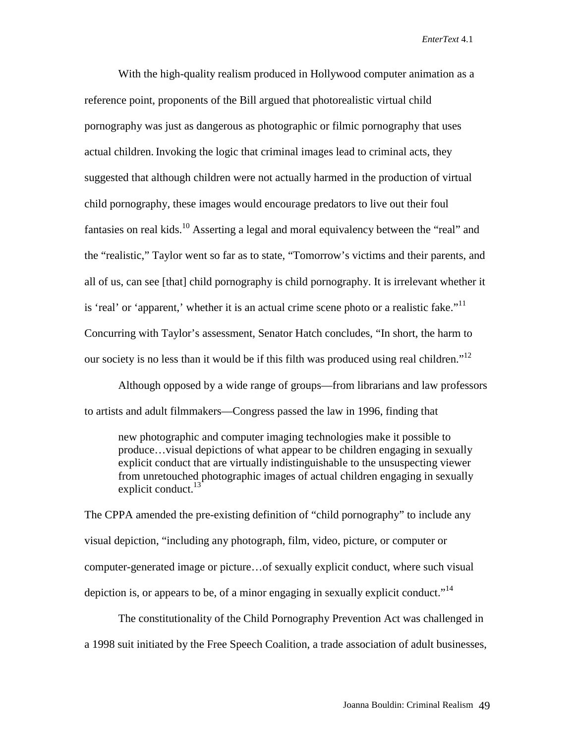With the high-quality realism produced in Hollywood computer animation as a reference point, proponents of the Bill argued that photorealistic virtual child pornography was just as dangerous as photographic or filmic pornography that uses actual children. Invoking the logic that criminal images lead to criminal acts, they suggested that although children were not actually harmed in the production of virtual child pornography, these images would encourage predators to live out their foul fantasies on real kids.<sup>10</sup> Asserting a legal and moral equivalency between the "real" and the "realistic," Taylor went so far as to state, "Tomorrow's victims and their parents, and all of us, can see [that] child pornography is child pornography. It is irrelevant whether it is 'real' or 'apparent,' whether it is an actual crime scene photo or a realistic fake."<sup>11</sup> Concurring with Taylor's assessment, Senator Hatch concludes, "In short, the harm to our society is no less than it would be if this filth was produced using real children."<sup>12</sup>

Although opposed by a wide range of groups—from librarians and law professors to artists and adult filmmakers—Congress passed the law in 1996, finding that

new photographic and computer imaging technologies make it possible to produce…visual depictions of what appear to be children engaging in sexually explicit conduct that are virtually indistinguishable to the unsuspecting viewer from unretouched photographic images of actual children engaging in sexually explicit conduct. $13$ 

The CPPA amended the pre-existing definition of "child pornography" to include any visual depiction, "including any photograph, film, video, picture, or computer or computer-generated image or picture…of sexually explicit conduct, where such visual depiction is, or appears to be, of a minor engaging in sexually explicit conduct."<sup>14</sup>

The constitutionality of the Child Pornography Prevention Act was challenged in a 1998 suit initiated by the Free Speech Coalition, a trade association of adult businesses,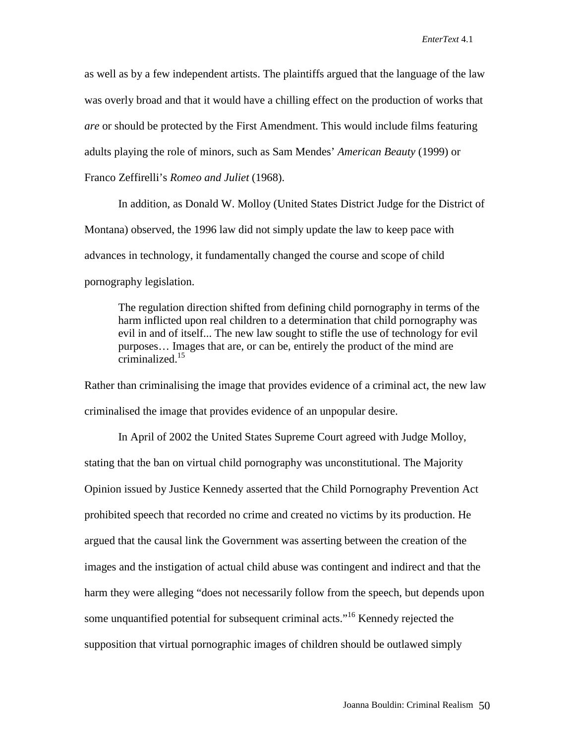as well as by a few independent artists. The plaintiffs argued that the language of the law was overly broad and that it would have a chilling effect on the production of works that *are* or should be protected by the First Amendment. This would include films featuring adults playing the role of minors, such as Sam Mendes' *American Beauty* (1999) or Franco Zeffirelli's *Romeo and Juliet* (1968).

In addition, as Donald W. Molloy (United States District Judge for the District of Montana) observed, the 1996 law did not simply update the law to keep pace with advances in technology, it fundamentally changed the course and scope of child pornography legislation.

The regulation direction shifted from defining child pornography in terms of the harm inflicted upon real children to a determination that child pornography was evil in and of itself... The new law sought to stifle the use of technology for evil purposes… Images that are, or can be, entirely the product of the mind are criminalized.<sup>15</sup>

Rather than criminalising the image that provides evidence of a criminal act, the new law criminalised the image that provides evidence of an unpopular desire.

In April of 2002 the United States Supreme Court agreed with Judge Molloy, stating that the ban on virtual child pornography was unconstitutional. The Majority Opinion issued by Justice Kennedy asserted that the Child Pornography Prevention Act prohibited speech that recorded no crime and created no victims by its production. He argued that the causal link the Government was asserting between the creation of the images and the instigation of actual child abuse was contingent and indirect and that the harm they were alleging "does not necessarily follow from the speech, but depends upon some unquantified potential for subsequent criminal acts."<sup>16</sup> Kennedy rejected the supposition that virtual pornographic images of children should be outlawed simply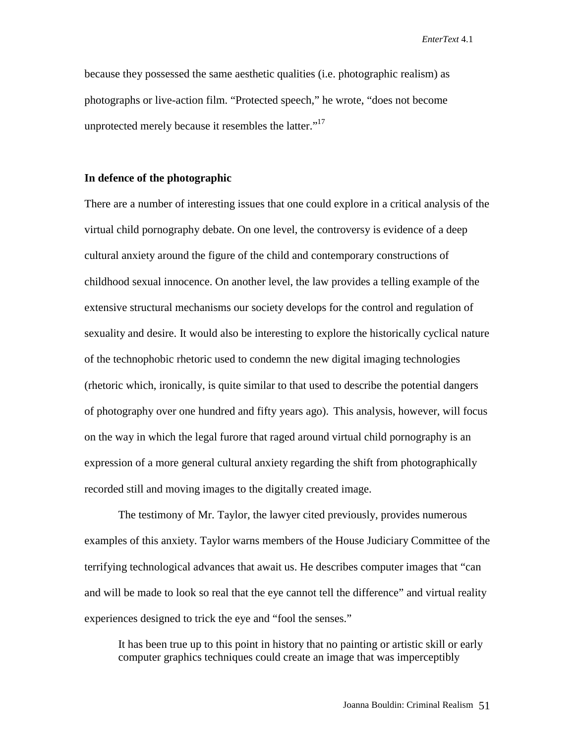because they possessed the same aesthetic qualities (i.e. photographic realism) as photographs or live-action film. "Protected speech," he wrote, "does not become unprotected merely because it resembles the latter."<sup>17</sup>

### **In defence of the photographic**

There are a number of interesting issues that one could explore in a critical analysis of the virtual child pornography debate. On one level, the controversy is evidence of a deep cultural anxiety around the figure of the child and contemporary constructions of childhood sexual innocence. On another level, the law provides a telling example of the extensive structural mechanisms our society develops for the control and regulation of sexuality and desire. It would also be interesting to explore the historically cyclical nature of the technophobic rhetoric used to condemn the new digital imaging technologies (rhetoric which, ironically, is quite similar to that used to describe the potential dangers of photography over one hundred and fifty years ago). This analysis, however, will focus on the way in which the legal furore that raged around virtual child pornography is an expression of a more general cultural anxiety regarding the shift from photographically recorded still and moving images to the digitally created image.

The testimony of Mr. Taylor, the lawyer cited previously, provides numerous examples of this anxiety. Taylor warns members of the House Judiciary Committee of the terrifying technological advances that await us. He describes computer images that "can and will be made to look so real that the eye cannot tell the difference" and virtual reality experiences designed to trick the eye and "fool the senses."

It has been true up to this point in history that no painting or artistic skill or early computer graphics techniques could create an image that was imperceptibly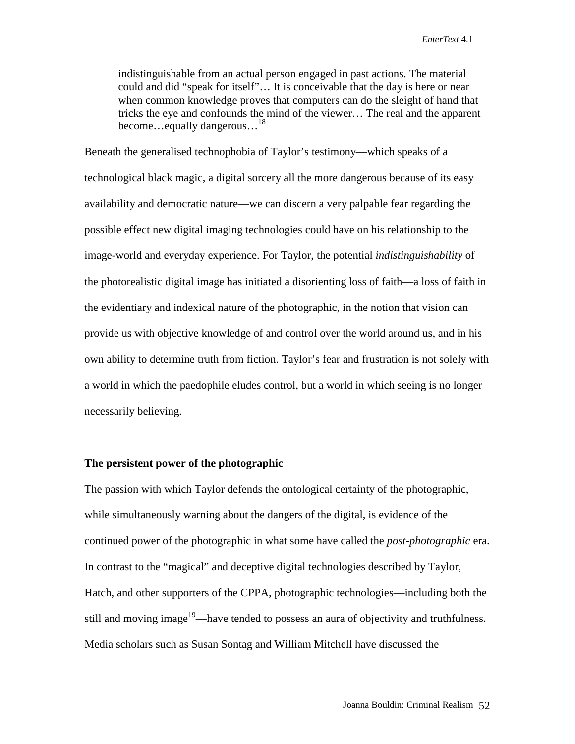indistinguishable from an actual person engaged in past actions. The material could and did "speak for itself"… It is conceivable that the day is here or near when common knowledge proves that computers can do the sleight of hand that tricks the eye and confounds the mind of the viewer… The real and the apparent become... equally dangerous...<sup>18</sup>

Beneath the generalised technophobia of Taylor's testimony—which speaks of a technological black magic, a digital sorcery all the more dangerous because of its easy availability and democratic nature—we can discern a very palpable fear regarding the possible effect new digital imaging technologies could have on his relationship to the image-world and everyday experience. For Taylor, the potential *indistinguishability* of the photorealistic digital image has initiated a disorienting loss of faith—a loss of faith in the evidentiary and indexical nature of the photographic, in the notion that vision can provide us with objective knowledge of and control over the world around us, and in his own ability to determine truth from fiction. Taylor's fear and frustration is not solely with a world in which the paedophile eludes control, but a world in which seeing is no longer necessarily believing.

### **The persistent power of the photographic**

The passion with which Taylor defends the ontological certainty of the photographic, while simultaneously warning about the dangers of the digital, is evidence of the continued power of the photographic in what some have called the *post-photographic* era. In contrast to the "magical" and deceptive digital technologies described by Taylor, Hatch, and other supporters of the CPPA, photographic technologies—including both the still and moving image<sup>19</sup>—have tended to possess an aura of objectivity and truthfulness. Media scholars such as Susan Sontag and William Mitchell have discussed the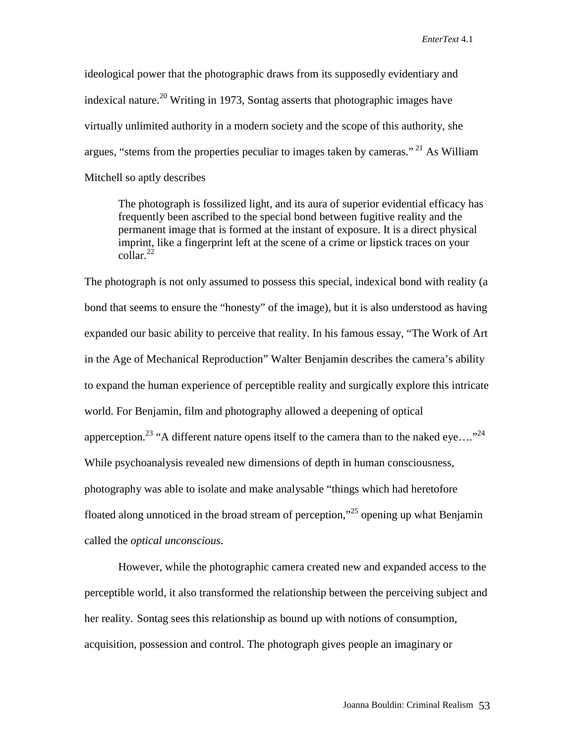ideological power that the photographic draws from its supposedly evidentiary and indexical nature.<sup>20</sup> Writing in 1973, Sontag asserts that photographic images have virtually unlimited authority in a modern society and the scope of this authority, she argues, "stems from the properties peculiar to images taken by cameras." 21 As William Mitchell so aptly describes

The photograph is fossilized light, and its aura of superior evidential efficacy has frequently been ascribed to the special bond between fugitive reality and the permanent image that is formed at the instant of exposure. It is a direct physical imprint, like a fingerprint left at the scene of a crime or lipstick traces on your  $\text{collar}^{22}$ 

The photograph is not only assumed to possess this special, indexical bond with reality (a bond that seems to ensure the "honesty" of the image), but it is also understood as having expanded our basic ability to perceive that reality. In his famous essay, "The Work of Art in the Age of Mechanical Reproduction" Walter Benjamin describes the camera's ability to expand the human experience of perceptible reality and surgically explore this intricate world. For Benjamin, film and photography allowed a deepening of optical apperception.<sup>23</sup> "A different nature opens itself to the camera than to the naked eye...."<sup>24</sup> While psychoanalysis revealed new dimensions of depth in human consciousness, photography was able to isolate and make analysable "things which had heretofore floated along unnoticed in the broad stream of perception,"<sup>25</sup> opening up what Benjamin called the *optical unconscious*.

However, while the photographic camera created new and expanded access to the perceptible world, it also transformed the relationship between the perceiving subject and her reality. Sontag sees this relationship as bound up with notions of consumption, acquisition, possession and control. The photograph gives people an imaginary or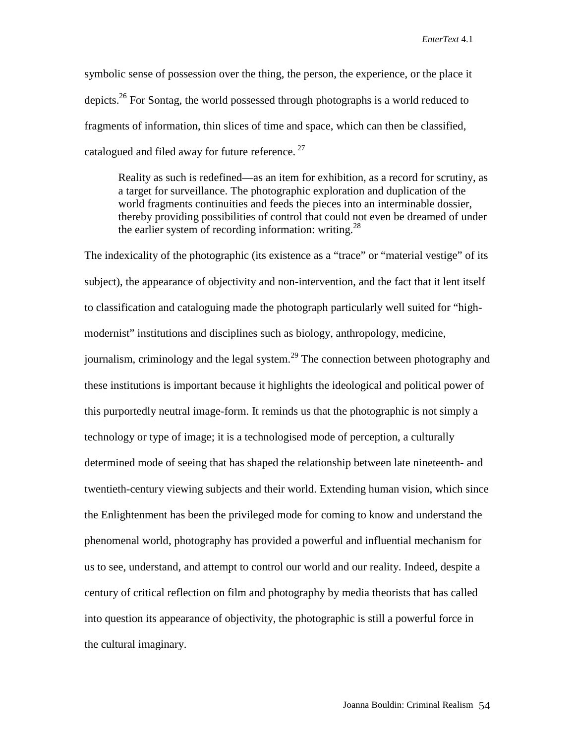symbolic sense of possession over the thing, the person, the experience, or the place it depicts.<sup>26</sup> For Sontag, the world possessed through photographs is a world reduced to fragments of information, thin slices of time and space, which can then be classified, catalogued and filed away for future reference.  $27$ 

Reality as such is redefined—as an item for exhibition, as a record for scrutiny, as a target for surveillance. The photographic exploration and duplication of the world fragments continuities and feeds the pieces into an interminable dossier, thereby providing possibilities of control that could not even be dreamed of under the earlier system of recording information: writing. $^{28}$ 

The indexicality of the photographic (its existence as a "trace" or "material vestige" of its subject), the appearance of objectivity and non-intervention, and the fact that it lent itself to classification and cataloguing made the photograph particularly well suited for "highmodernist" institutions and disciplines such as biology, anthropology, medicine, journalism, criminology and the legal system.<sup>29</sup> The connection between photography and these institutions is important because it highlights the ideological and political power of this purportedly neutral image-form. It reminds us that the photographic is not simply a technology or type of image; it is a technologised mode of perception, a culturally determined mode of seeing that has shaped the relationship between late nineteenth- and twentieth-century viewing subjects and their world. Extending human vision, which since the Enlightenment has been the privileged mode for coming to know and understand the phenomenal world, photography has provided a powerful and influential mechanism for us to see, understand, and attempt to control our world and our reality. Indeed, despite a century of critical reflection on film and photography by media theorists that has called into question its appearance of objectivity, the photographic is still a powerful force in the cultural imaginary.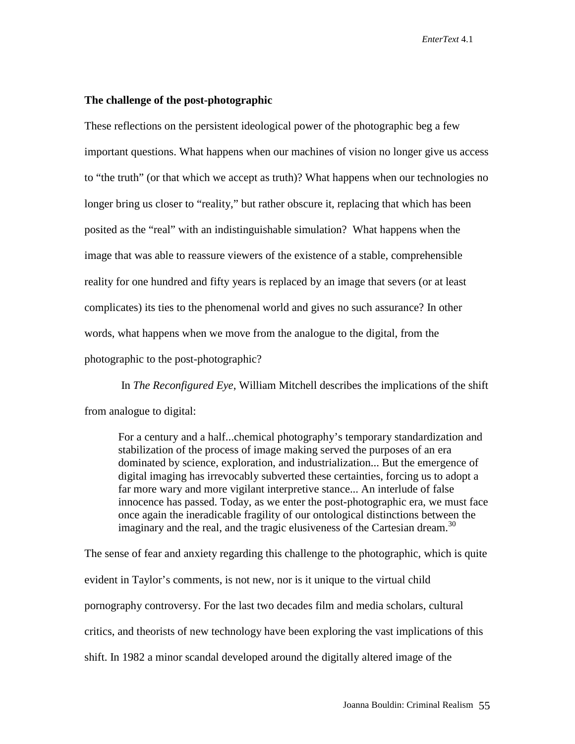### **The challenge of the post-photographic**

These reflections on the persistent ideological power of the photographic beg a few important questions. What happens when our machines of vision no longer give us access to "the truth" (or that which we accept as truth)? What happens when our technologies no longer bring us closer to "reality," but rather obscure it, replacing that which has been posited as the "real" with an indistinguishable simulation? What happens when the image that was able to reassure viewers of the existence of a stable, comprehensible reality for one hundred and fifty years is replaced by an image that severs (or at least complicates) its ties to the phenomenal world and gives no such assurance? In other words, what happens when we move from the analogue to the digital, from the photographic to the post-photographic?

 In *The Reconfigured Eye*, William Mitchell describes the implications of the shift from analogue to digital:

For a century and a half...chemical photography's temporary standardization and stabilization of the process of image making served the purposes of an era dominated by science, exploration, and industrialization... But the emergence of digital imaging has irrevocably subverted these certainties, forcing us to adopt a far more wary and more vigilant interpretive stance... An interlude of false innocence has passed. Today, as we enter the post-photographic era, we must face once again the ineradicable fragility of our ontological distinctions between the imaginary and the real, and the tragic elusiveness of the Cartesian dream.<sup>30</sup>

The sense of fear and anxiety regarding this challenge to the photographic, which is quite evident in Taylor's comments, is not new, nor is it unique to the virtual child pornography controversy. For the last two decades film and media scholars, cultural critics, and theorists of new technology have been exploring the vast implications of this shift. In 1982 a minor scandal developed around the digitally altered image of the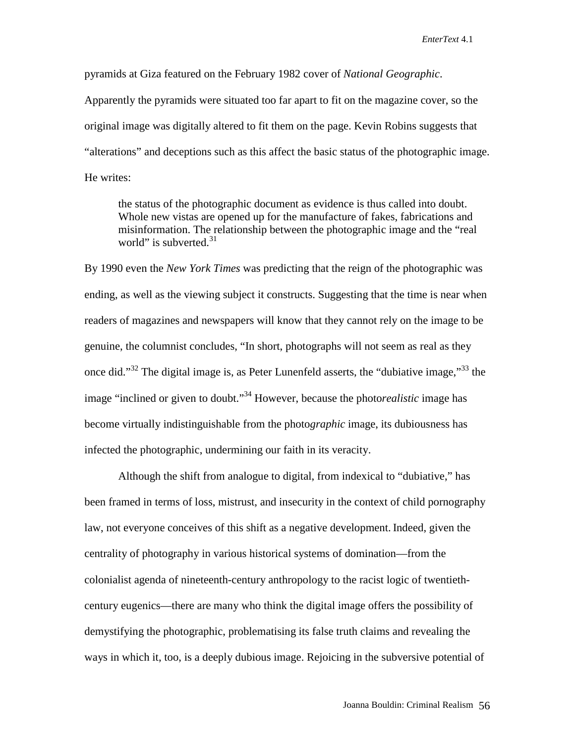pyramids at Giza featured on the February 1982 cover of *National Geographic*.

Apparently the pyramids were situated too far apart to fit on the magazine cover, so the original image was digitally altered to fit them on the page. Kevin Robins suggests that "alterations" and deceptions such as this affect the basic status of the photographic image. He writes:

the status of the photographic document as evidence is thus called into doubt. Whole new vistas are opened up for the manufacture of fakes, fabrications and misinformation. The relationship between the photographic image and the "real world" is subverted. $31$ 

By 1990 even the *New York Times* was predicting that the reign of the photographic was ending, as well as the viewing subject it constructs. Suggesting that the time is near when readers of magazines and newspapers will know that they cannot rely on the image to be genuine, the columnist concludes, "In short, photographs will not seem as real as they once did."<sup>32</sup> The digital image is, as Peter Lunenfeld asserts, the "dubiative image,"<sup>33</sup> the image "inclined or given to doubt."34 However, because the photo*realistic* image has become virtually indistinguishable from the photo*graphic* image, its dubiousness has infected the photographic, undermining our faith in its veracity.

Although the shift from analogue to digital, from indexical to "dubiative," has been framed in terms of loss, mistrust, and insecurity in the context of child pornography law, not everyone conceives of this shift as a negative development. Indeed, given the centrality of photography in various historical systems of domination—from the colonialist agenda of nineteenth-century anthropology to the racist logic of twentiethcentury eugenics—there are many who think the digital image offers the possibility of demystifying the photographic, problematising its false truth claims and revealing the ways in which it, too, is a deeply dubious image. Rejoicing in the subversive potential of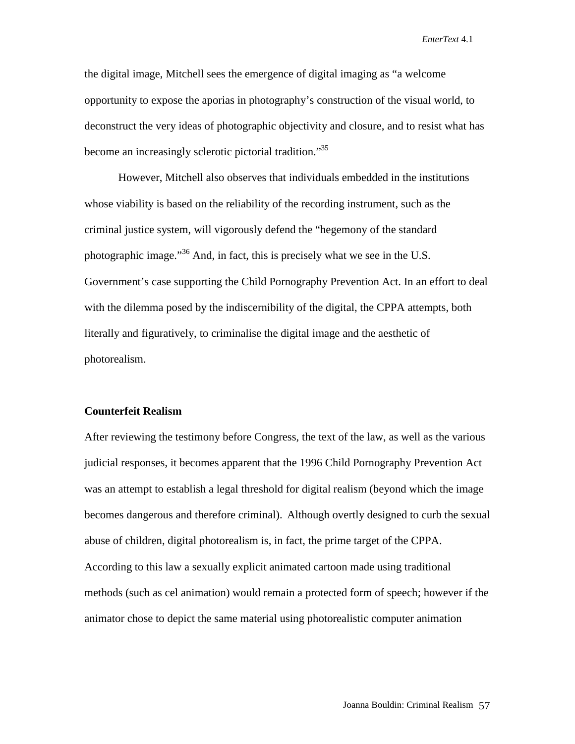the digital image, Mitchell sees the emergence of digital imaging as "a welcome opportunity to expose the aporias in photography's construction of the visual world, to deconstruct the very ideas of photographic objectivity and closure, and to resist what has become an increasingly sclerotic pictorial tradition."<sup>35</sup>

However, Mitchell also observes that individuals embedded in the institutions whose viability is based on the reliability of the recording instrument, such as the criminal justice system, will vigorously defend the "hegemony of the standard photographic image."<sup>36</sup> And, in fact, this is precisely what we see in the U.S. Government's case supporting the Child Pornography Prevention Act. In an effort to deal with the dilemma posed by the indiscernibility of the digital, the CPPA attempts, both literally and figuratively, to criminalise the digital image and the aesthetic of photorealism.

## **Counterfeit Realism**

After reviewing the testimony before Congress, the text of the law, as well as the various judicial responses, it becomes apparent that the 1996 Child Pornography Prevention Act was an attempt to establish a legal threshold for digital realism (beyond which the image becomes dangerous and therefore criminal). Although overtly designed to curb the sexual abuse of children, digital photorealism is, in fact, the prime target of the CPPA. According to this law a sexually explicit animated cartoon made using traditional methods (such as cel animation) would remain a protected form of speech; however if the animator chose to depict the same material using photorealistic computer animation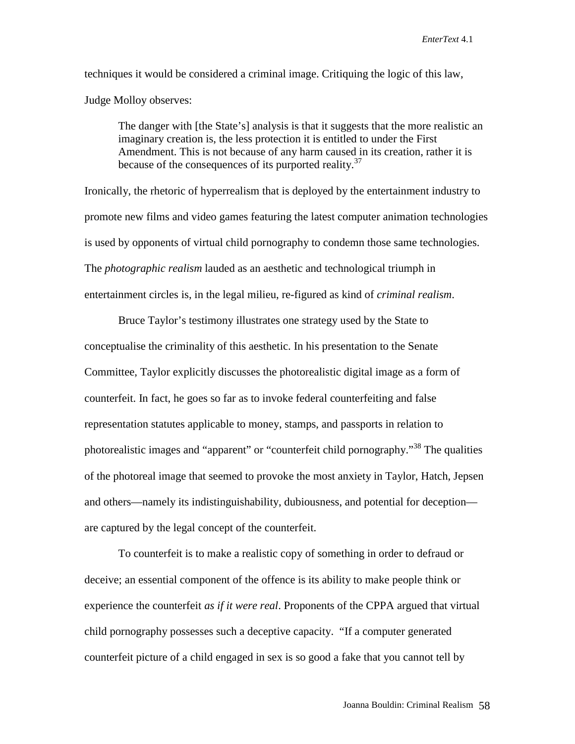techniques it would be considered a criminal image. Critiquing the logic of this law, Judge Molloy observes:

The danger with [the State's] analysis is that it suggests that the more realistic an imaginary creation is, the less protection it is entitled to under the First Amendment. This is not because of any harm caused in its creation, rather it is because of the consequences of its purported reality.<sup>37</sup>

Ironically, the rhetoric of hyperrealism that is deployed by the entertainment industry to promote new films and video games featuring the latest computer animation technologies is used by opponents of virtual child pornography to condemn those same technologies. The *photographic realism* lauded as an aesthetic and technological triumph in entertainment circles is, in the legal milieu, re-figured as kind of *criminal realism*.

Bruce Taylor's testimony illustrates one strategy used by the State to conceptualise the criminality of this aesthetic. In his presentation to the Senate Committee, Taylor explicitly discusses the photorealistic digital image as a form of counterfeit. In fact, he goes so far as to invoke federal counterfeiting and false representation statutes applicable to money, stamps, and passports in relation to photorealistic images and "apparent" or "counterfeit child pornography."<sup>38</sup> The qualities of the photoreal image that seemed to provoke the most anxiety in Taylor, Hatch, Jepsen and others—namely its indistinguishability, dubiousness, and potential for deception are captured by the legal concept of the counterfeit.

To counterfeit is to make a realistic copy of something in order to defraud or deceive; an essential component of the offence is its ability to make people think or experience the counterfeit *as if it were real*. Proponents of the CPPA argued that virtual child pornography possesses such a deceptive capacity. "If a computer generated counterfeit picture of a child engaged in sex is so good a fake that you cannot tell by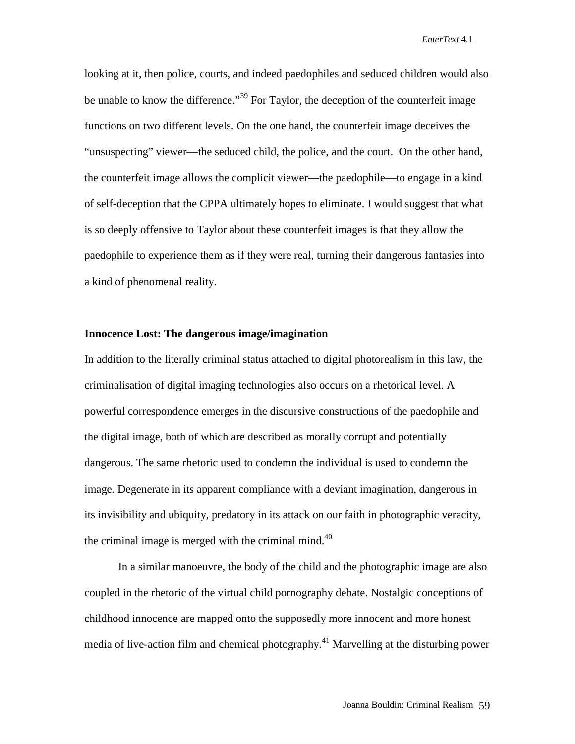looking at it, then police, courts, and indeed paedophiles and seduced children would also be unable to know the difference."<sup>39</sup> For Taylor, the deception of the counterfeit image functions on two different levels. On the one hand, the counterfeit image deceives the "unsuspecting" viewer—the seduced child, the police, and the court. On the other hand, the counterfeit image allows the complicit viewer—the paedophile—to engage in a kind of self-deception that the CPPA ultimately hopes to eliminate. I would suggest that what is so deeply offensive to Taylor about these counterfeit images is that they allow the paedophile to experience them as if they were real, turning their dangerous fantasies into a kind of phenomenal reality.

#### **Innocence Lost: The dangerous image/imagination**

In addition to the literally criminal status attached to digital photorealism in this law, the criminalisation of digital imaging technologies also occurs on a rhetorical level. A powerful correspondence emerges in the discursive constructions of the paedophile and the digital image, both of which are described as morally corrupt and potentially dangerous. The same rhetoric used to condemn the individual is used to condemn the image. Degenerate in its apparent compliance with a deviant imagination, dangerous in its invisibility and ubiquity, predatory in its attack on our faith in photographic veracity, the criminal image is merged with the criminal mind.<sup>40</sup>

In a similar manoeuvre, the body of the child and the photographic image are also coupled in the rhetoric of the virtual child pornography debate. Nostalgic conceptions of childhood innocence are mapped onto the supposedly more innocent and more honest media of live-action film and chemical photography.<sup>41</sup> Marvelling at the disturbing power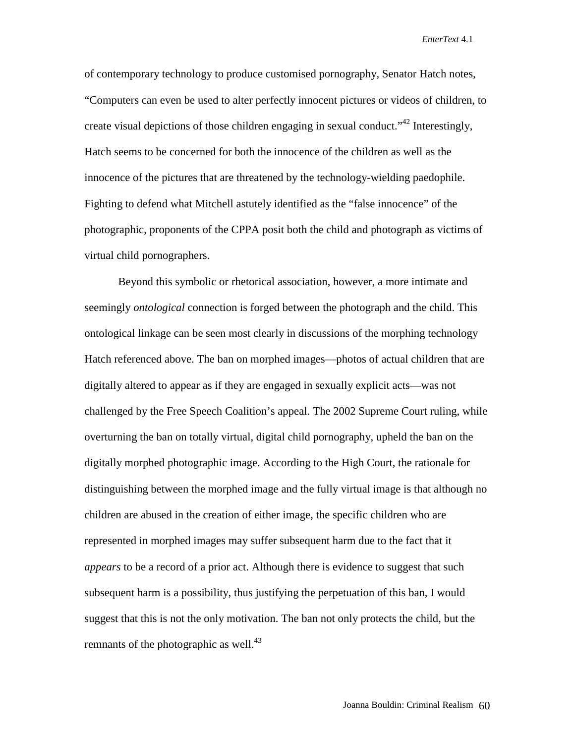of contemporary technology to produce customised pornography, Senator Hatch notes, "Computers can even be used to alter perfectly innocent pictures or videos of children, to create visual depictions of those children engaging in sexual conduct.<sup> $1/42$ </sup> Interestingly, Hatch seems to be concerned for both the innocence of the children as well as the innocence of the pictures that are threatened by the technology-wielding paedophile. Fighting to defend what Mitchell astutely identified as the "false innocence" of the photographic, proponents of the CPPA posit both the child and photograph as victims of virtual child pornographers.

Beyond this symbolic or rhetorical association, however, a more intimate and seemingly *ontological* connection is forged between the photograph and the child. This ontological linkage can be seen most clearly in discussions of the morphing technology Hatch referenced above. The ban on morphed images—photos of actual children that are digitally altered to appear as if they are engaged in sexually explicit acts—was not challenged by the Free Speech Coalition's appeal. The 2002 Supreme Court ruling, while overturning the ban on totally virtual, digital child pornography, upheld the ban on the digitally morphed photographic image. According to the High Court, the rationale for distinguishing between the morphed image and the fully virtual image is that although no children are abused in the creation of either image, the specific children who are represented in morphed images may suffer subsequent harm due to the fact that it *appears* to be a record of a prior act. Although there is evidence to suggest that such subsequent harm is a possibility, thus justifying the perpetuation of this ban, I would suggest that this is not the only motivation. The ban not only protects the child, but the remnants of the photographic as well. $^{43}$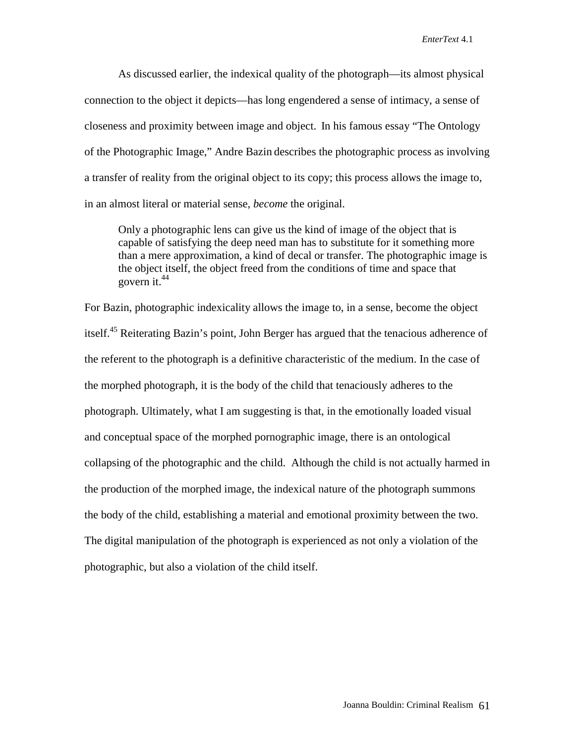As discussed earlier, the indexical quality of the photograph—its almost physical connection to the object it depicts—has long engendered a sense of intimacy, a sense of closeness and proximity between image and object. In his famous essay "The Ontology of the Photographic Image," Andre Bazin describes the photographic process as involving a transfer of reality from the original object to its copy; this process allows the image to, in an almost literal or material sense, *become* the original.

Only a photographic lens can give us the kind of image of the object that is capable of satisfying the deep need man has to substitute for it something more than a mere approximation, a kind of decal or transfer. The photographic image is the object itself, the object freed from the conditions of time and space that govern it. $44$ 

For Bazin, photographic indexicality allows the image to, in a sense, become the object itself.<sup>45</sup> Reiterating Bazin's point, John Berger has argued that the tenacious adherence of the referent to the photograph is a definitive characteristic of the medium. In the case of the morphed photograph, it is the body of the child that tenaciously adheres to the photograph. Ultimately, what I am suggesting is that, in the emotionally loaded visual and conceptual space of the morphed pornographic image, there is an ontological collapsing of the photographic and the child. Although the child is not actually harmed in the production of the morphed image, the indexical nature of the photograph summons the body of the child, establishing a material and emotional proximity between the two. The digital manipulation of the photograph is experienced as not only a violation of the photographic, but also a violation of the child itself.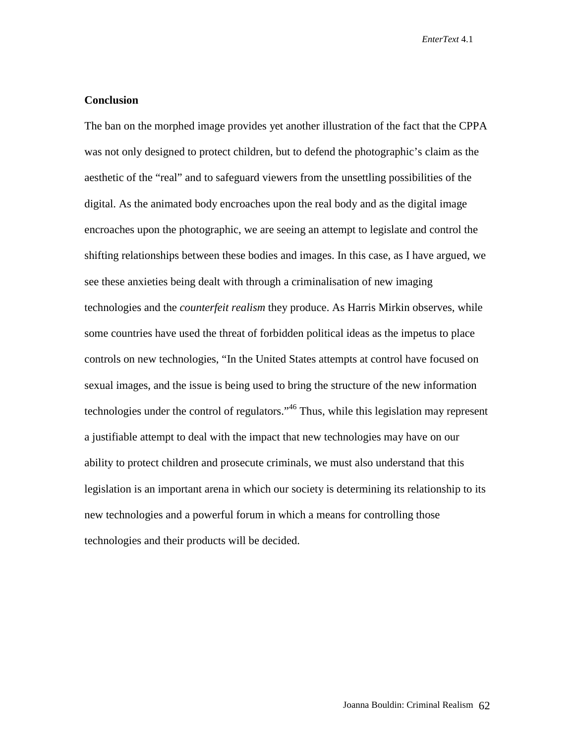## **Conclusion**

The ban on the morphed image provides yet another illustration of the fact that the CPPA was not only designed to protect children, but to defend the photographic's claim as the aesthetic of the "real" and to safeguard viewers from the unsettling possibilities of the digital. As the animated body encroaches upon the real body and as the digital image encroaches upon the photographic, we are seeing an attempt to legislate and control the shifting relationships between these bodies and images. In this case, as I have argued, we see these anxieties being dealt with through a criminalisation of new imaging technologies and the *counterfeit realism* they produce. As Harris Mirkin observes, while some countries have used the threat of forbidden political ideas as the impetus to place controls on new technologies, "In the United States attempts at control have focused on sexual images, and the issue is being used to bring the structure of the new information technologies under the control of regulators."<sup>46</sup> Thus, while this legislation may represent a justifiable attempt to deal with the impact that new technologies may have on our ability to protect children and prosecute criminals, we must also understand that this legislation is an important arena in which our society is determining its relationship to its new technologies and a powerful forum in which a means for controlling those technologies and their products will be decided.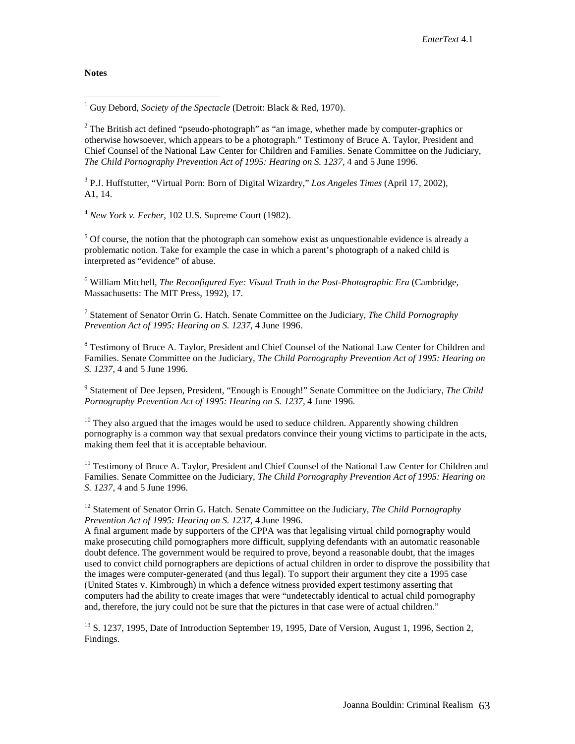#### **Notes**

1 Guy Debord, *Society of the Spectacle* (Detroit: Black & Red, 1970).

<sup>2</sup> The British act defined "pseudo-photograph" as "an image, whether made by computer-graphics or otherwise howsoever, which appears to be a photograph." Testimony of Bruce A. Taylor, President and Chief Counsel of the National Law Center for Children and Families. Senate Committee on the Judiciary, *The Child Pornography Prevention Act of 1995: Hearing on S. 1237*, 4 and 5 June 1996.

3 P.J. Huffstutter, "Virtual Porn: Born of Digital Wizardry," *Los Angeles Times* (April 17, 2002), A1, 14.

<sup>4</sup> *New York v. Ferber*, 102 U.S. Supreme Court (1982).

 $<sup>5</sup>$  Of course, the notion that the photograph can somehow exist as unquestionable evidence is already a</sup> problematic notion. Take for example the case in which a parent's photograph of a naked child is interpreted as "evidence" of abuse.

6 William Mitchell, *The Reconfigured Eye: Visual Truth in the Post-Photographic Era* (Cambridge, Massachusetts: The MIT Press, 1992), 17.

7 Statement of Senator Orrin G. Hatch. Senate Committee on the Judiciary, *The Child Pornography Prevention Act of 1995: Hearing on S. 1237*, 4 June 1996.

<sup>8</sup> Testimony of Bruce A. Taylor, President and Chief Counsel of the National Law Center for Children and Families. Senate Committee on the Judiciary, *The Child Pornography Prevention Act of 1995: Hearing on S. 1237*, 4 and 5 June 1996.

9 Statement of Dee Jepsen, President, "Enough is Enough!" Senate Committee on the Judiciary, *The Child Pornography Prevention Act of 1995: Hearing on S. 1237*, 4 June 1996.

 $10$  They also argued that the images would be used to seduce children. Apparently showing children pornography is a common way that sexual predators convince their young victims to participate in the acts, making them feel that it is acceptable behaviour.

<sup>11</sup> Testimony of Bruce A. Taylor, President and Chief Counsel of the National Law Center for Children and Families. Senate Committee on the Judiciary, *The Child Pornography Prevention Act of 1995: Hearing on S. 1237*, 4 and 5 June 1996.

<sup>12</sup> Statement of Senator Orrin G. Hatch. Senate Committee on the Judiciary, *The Child Pornography Prevention Act of 1995: Hearing on S. 1237*, 4 June 1996.

A final argument made by supporters of the CPPA was that legalising virtual child pornography would make prosecuting child pornographers more difficult, supplying defendants with an automatic reasonable doubt defence. The government would be required to prove, beyond a reasonable doubt, that the images used to convict child pornographers are depictions of actual children in order to disprove the possibility that the images were computer-generated (and thus legal). To support their argument they cite a 1995 case (United States v. Kimbrough) in which a defence witness provided expert testimony asserting that computers had the ability to create images that were "undetectably identical to actual child pornography and, therefore, the jury could not be sure that the pictures in that case were of actual children."

 $13$  S. 1237, 1995, Date of Introduction September 19, 1995, Date of Version, August 1, 1996, Section 2, Findings.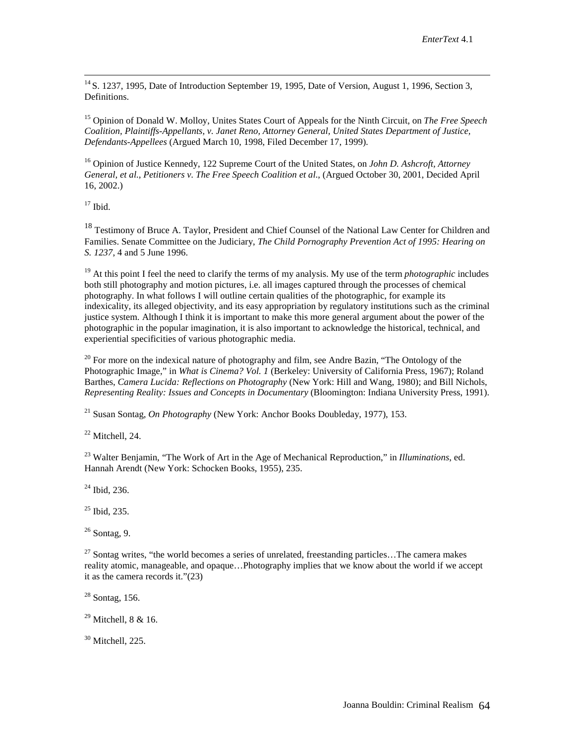<sup>14</sup> S. 1237, 1995, Date of Introduction September 19, 1995, Date of Version, August 1, 1996, Section 3, Definitions.

15 Opinion of Donald W. Molloy, Unites States Court of Appeals for the Ninth Circuit, on *The Free Speech Coalition, Plaintiffs-Appellants, v. Janet Reno, Attorney General, United States Department of Justice, Defendants-Appellees* (Argued March 10, 1998, Filed December 17, 1999).

16 Opinion of Justice Kennedy, 122 Supreme Court of the United States, on *John D. Ashcroft, Attorney General, et al., Petitioners v. The Free Speech Coalition et al*., (Argued October 30, 2001, Decided April 16, 2002.)

 $17$  Ibid.

<sup>18</sup> Testimony of Bruce A. Taylor, President and Chief Counsel of the National Law Center for Children and Families. Senate Committee on the Judiciary, *The Child Pornography Prevention Act of 1995: Hearing on S. 1237*, 4 and 5 June 1996.

<sup>19</sup> At this point I feel the need to clarify the terms of my analysis. My use of the term *photographic* includes both still photography and motion pictures, i.e. all images captured through the processes of chemical photography. In what follows I will outline certain qualities of the photographic, for example its indexicality, its alleged objectivity, and its easy appropriation by regulatory institutions such as the criminal justice system. Although I think it is important to make this more general argument about the power of the photographic in the popular imagination, it is also important to acknowledge the historical, technical, and experiential specificities of various photographic media.

 $20$  For more on the indexical nature of photography and film, see Andre Bazin, "The Ontology of the Photographic Image," in *What is Cinema? Vol. 1* (Berkeley: University of California Press, 1967); Roland Barthes, *Camera Lucida: Reflections on Photography* (New York: Hill and Wang, 1980); and Bill Nichols, *Representing Reality: Issues and Concepts in Documentary* (Bloomington: Indiana University Press, 1991).

21 Susan Sontag, *On Photography* (New York: Anchor Books Doubleday, 1977), 153.

 $22$  Mitchell, 24.

23 Walter Benjamin, "The Work of Art in the Age of Mechanical Reproduction," in *Illuminations*, ed. Hannah Arendt (New York: Schocken Books, 1955), 235.

 $^{24}$  Ibid, 236.

25 Ibid, 235.

 $26$  Sontag, 9.

 $27$  Sontag writes, "the world becomes a series of unrelated, freestanding particles...The camera makes reality atomic, manageable, and opaque…Photography implies that we know about the world if we accept it as the camera records it."(23)

 $28$  Sontag, 156.

29 Mitchell, 8 & 16.

 $30$  Mitchell, 225.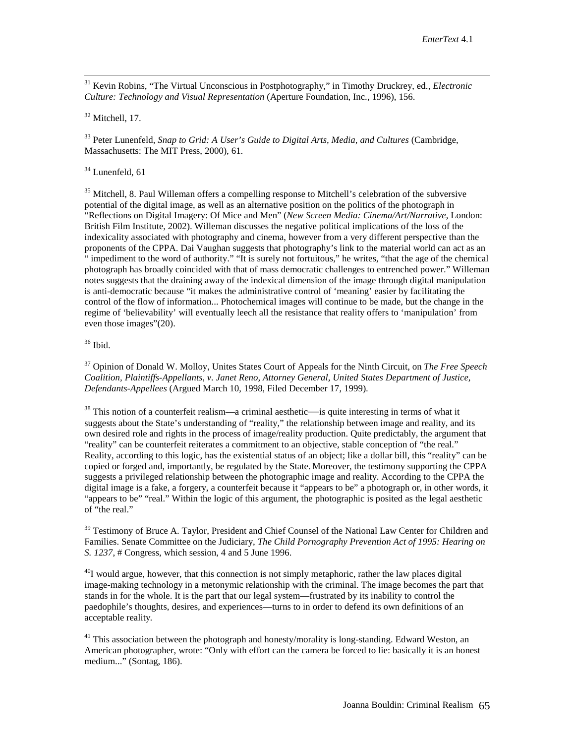31 Kevin Robins, "The Virtual Unconscious in Postphotography," in Timothy Druckrey, ed., *Electronic Culture: Technology and Visual Representation* (Aperture Foundation, Inc., 1996), 156.

 $32$  Mitchell, 17.

33 Peter Lunenfeld, *Snap to Grid: A User's Guide to Digital Arts, Media, and Cultures* (Cambridge, Massachusetts: The MIT Press, 2000), 61.

 $34$  Lunenfeld, 61

<sup>35</sup> Mitchell, 8. Paul Willeman offers a compelling response to Mitchell's celebration of the subversive potential of the digital image, as well as an alternative position on the politics of the photograph in "Reflections on Digital Imagery: Of Mice and Men" (*New Screen Media: Cinema/Art/Narrative*, London: British Film Institute, 2002). Willeman discusses the negative political implications of the loss of the indexicality associated with photography and cinema, however from a very different perspective than the proponents of the CPPA. Dai Vaughan suggests that photography's link to the material world can act as an " impediment to the word of authority." "It is surely not fortuitous," he writes, "that the age of the chemical photograph has broadly coincided with that of mass democratic challenges to entrenched power." Willeman notes suggests that the draining away of the indexical dimension of the image through digital manipulation is anti-democratic because "it makes the administrative control of 'meaning' easier by facilitating the control of the flow of information... Photochemical images will continue to be made, but the change in the regime of 'believability' will eventually leech all the resistance that reality offers to 'manipulation' from even those images"(20).

 $36$  Ibid.

37 Opinion of Donald W. Molloy, Unites States Court of Appeals for the Ninth Circuit, on *The Free Speech Coalition, Plaintiffs-Appellants, v. Janet Reno, Attorney General, United States Department of Justice, Defendants-Appellees* (Argued March 10, 1998, Filed December 17, 1999).

 $38$  This notion of a counterfeit realism—a criminal aesthetic—is quite interesting in terms of what it suggests about the State's understanding of "reality," the relationship between image and reality, and its own desired role and rights in the process of image/reality production. Quite predictably, the argument that "reality" can be counterfeit reiterates a commitment to an objective, stable conception of "the real." Reality, according to this logic, has the existential status of an object; like a dollar bill, this "reality" can be copied or forged and, importantly, be regulated by the State. Moreover, the testimony supporting the CPPA suggests a privileged relationship between the photographic image and reality. According to the CPPA the digital image is a fake, a forgery, a counterfeit because it "appears to be" a photograph or, in other words, it "appears to be" "real." Within the logic of this argument, the photographic is posited as the legal aesthetic of "the real."

<sup>39</sup> Testimony of Bruce A. Taylor, President and Chief Counsel of the National Law Center for Children and Families. Senate Committee on the Judiciary, *The Child Pornography Prevention Act of 1995: Hearing on S. 1237*, # Congress, which session, 4 and 5 June 1996.

 $40I$  would argue, however, that this connection is not simply metaphoric, rather the law places digital image-making technology in a metonymic relationship with the criminal. The image becomes the part that stands in for the whole. It is the part that our legal system—frustrated by its inability to control the paedophile's thoughts, desires, and experiences—turns to in order to defend its own definitions of an acceptable reality*.*

 $41$  This association between the photograph and honesty/morality is long-standing. Edward Weston, an American photographer, wrote: "Only with effort can the camera be forced to lie: basically it is an honest medium..." (Sontag, 186).